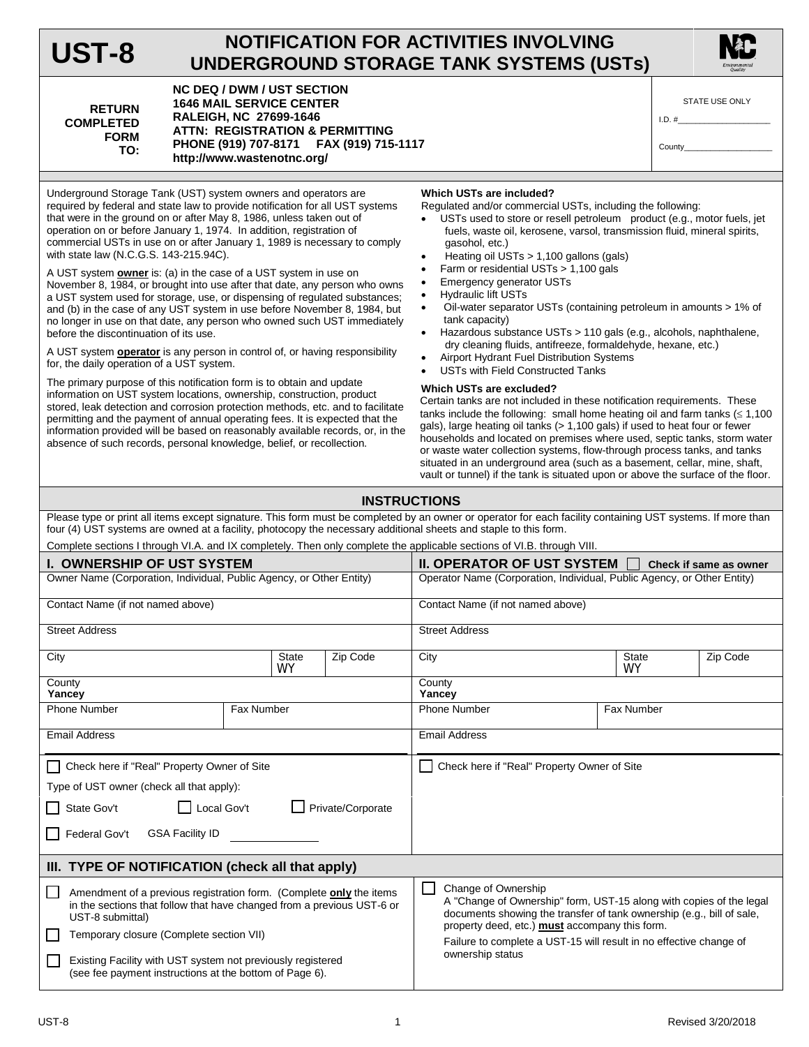# **UST-8**

## **NOTIFICATION FOR ACTIVITIES INVOLVING UNDERGROUND STORAGE TANK SYSTEMS (USTs)**

**RETURN COMPLETED FORM TO:**

**NC DEQ / DWM / UST SECTION 1646 MAIL SERVICE CENTER RALEIGH, NC 27699-1646 ATTN: REGISTRATION & PERMITTING PHONE (919) 707-8171 FAX (919) 715-1117 http://www.wastenotnc.org/**

STATE USE ONLY

County\_\_\_\_\_\_\_\_\_\_\_\_\_\_\_\_\_\_\_\_

 $I.D. #$ 

Underground Storage Tank (UST) system owners and operators are required by federal and state law to provide notification for all UST systems that were in the ground on or after May 8, 1986, unless taken out of operation on or before January 1, 1974. In addition, registration of commercial USTs in use on or after January 1, 1989 is necessary to comply with state law (N.C.G.S. 143-215.94C).

A UST system **owner** is: (a) in the case of a UST system in use on November 8, 1984, or brought into use after that date, any person who owns a UST system used for storage, use, or dispensing of regulated substances; and (b) in the case of any UST system in use before November 8, 1984, but no longer in use on that date, any person who owned such UST immediately before the discontinuation of its use.

A UST system **operator** is any person in control of, or having responsibility for, the daily operation of a UST system.

The primary purpose of this notification form is to obtain and update information on UST system locations, ownership, construction, product stored, leak detection and corrosion protection methods, etc. and to facilitate permitting and the payment of annual operating fees. It is expected that the information provided will be based on reasonably available records, or, in the absence of such records, personal knowledge, belief, or recollection.

#### **Which USTs are included?**

Regulated and/or commercial USTs, including the following:

- USTs used to store or resell petroleum product (e.g., motor fuels, jet fuels, waste oil, kerosene, varsol, transmission fluid, mineral spirits, gasohol, etc.)
- Heating oil USTs > 1,100 gallons (gals)
- Farm or residential USTs > 1,100 gals
- **Emergency generator USTs**
- Hydraulic lift USTs
- Oil-water separator USTs (containing petroleum in amounts > 1% of tank capacity)
- Hazardous substance USTs > 110 gals (e.g., alcohols, naphthalene, dry cleaning fluids, antifreeze, formaldehyde, hexane, etc.)
- Airport Hydrant Fuel Distribution Systems
- USTs with Field Constructed Tanks

#### **Which USTs are excluded?**

Certain tanks are not included in these notification requirements. These tanks include the following: small home heating oil and farm tanks  $( \leq 1,100$ gals), large heating oil tanks (> 1,100 gals) if used to heat four or fewer households and located on premises where used, septic tanks, storm water or waste water collection systems, flow-through process tanks, and tanks situated in an underground area (such as a basement, cellar, mine, shaft, vault or tunnel) if the tank is situated upon or above the surface of the floor.

#### **INSTRUCTIONS**

Please type or print all items except signature. This form must be completed by an owner or operator for each facility containing UST systems. If more than four (4) UST systems are owned at a facility, photocopy the necessary additional sheets and staple to this form.

Complete sections I through VI.A. and IX completely. Then only complete the applicable sections of VI.B. through VIII.

| <b>I. OWNERSHIP OF UST SYSTEM</b>                                                                                                                                  |                   | <b>II. OPERATOR OF UST SYSTEM</b><br>Check if same as owner                                                                                                                                                           |          |                                                                                        |  |            |          |  |  |  |
|--------------------------------------------------------------------------------------------------------------------------------------------------------------------|-------------------|-----------------------------------------------------------------------------------------------------------------------------------------------------------------------------------------------------------------------|----------|----------------------------------------------------------------------------------------|--|------------|----------|--|--|--|
| Owner Name (Corporation, Individual, Public Agency, or Other Entity)                                                                                               |                   | Operator Name (Corporation, Individual, Public Agency, or Other Entity)                                                                                                                                               |          |                                                                                        |  |            |          |  |  |  |
| Contact Name (if not named above)                                                                                                                                  |                   | Contact Name (if not named above)                                                                                                                                                                                     |          |                                                                                        |  |            |          |  |  |  |
| <b>Street Address</b>                                                                                                                                              |                   |                                                                                                                                                                                                                       |          | <b>Street Address</b>                                                                  |  |            |          |  |  |  |
| City                                                                                                                                                               |                   | State<br><b>WY</b>                                                                                                                                                                                                    | Zip Code | City                                                                                   |  |            | Zip Code |  |  |  |
| County<br>Yancey                                                                                                                                                   |                   | County<br>Yancey                                                                                                                                                                                                      |          |                                                                                        |  |            |          |  |  |  |
| <b>Phone Number</b>                                                                                                                                                | Fax Number        |                                                                                                                                                                                                                       |          | <b>Phone Number</b>                                                                    |  | Fax Number |          |  |  |  |
| <b>Email Address</b>                                                                                                                                               |                   | <b>Email Address</b>                                                                                                                                                                                                  |          |                                                                                        |  |            |          |  |  |  |
| Check here if "Real" Property Owner of Site<br>ΙI                                                                                                                  |                   | Check here if "Real" Property Owner of Site                                                                                                                                                                           |          |                                                                                        |  |            |          |  |  |  |
| Type of UST owner (check all that apply):                                                                                                                          |                   |                                                                                                                                                                                                                       |          |                                                                                        |  |            |          |  |  |  |
| I Local Gov't<br>State Gov't                                                                                                                                       | Private/Corporate |                                                                                                                                                                                                                       |          |                                                                                        |  |            |          |  |  |  |
| <b>GSA Facility ID</b><br>Federal Gov't                                                                                                                            |                   |                                                                                                                                                                                                                       |          |                                                                                        |  |            |          |  |  |  |
| III. TYPE OF NOTIFICATION (check all that apply)                                                                                                                   |                   |                                                                                                                                                                                                                       |          |                                                                                        |  |            |          |  |  |  |
| Amendment of a previous registration form. (Complete only the items<br>in the sections that follow that have changed from a previous UST-6 or<br>UST-8 submittal)  |                   | Change of Ownership<br>A "Change of Ownership" form, UST-15 along with copies of the legal<br>documents showing the transfer of tank ownership (e.g., bill of sale,<br>property deed, etc.) must accompany this form. |          |                                                                                        |  |            |          |  |  |  |
| Temporary closure (Complete section VII)<br>Existing Facility with UST system not previously registered<br>(see fee payment instructions at the bottom of Page 6). |                   |                                                                                                                                                                                                                       |          | Failure to complete a UST-15 will result in no effective change of<br>ownership status |  |            |          |  |  |  |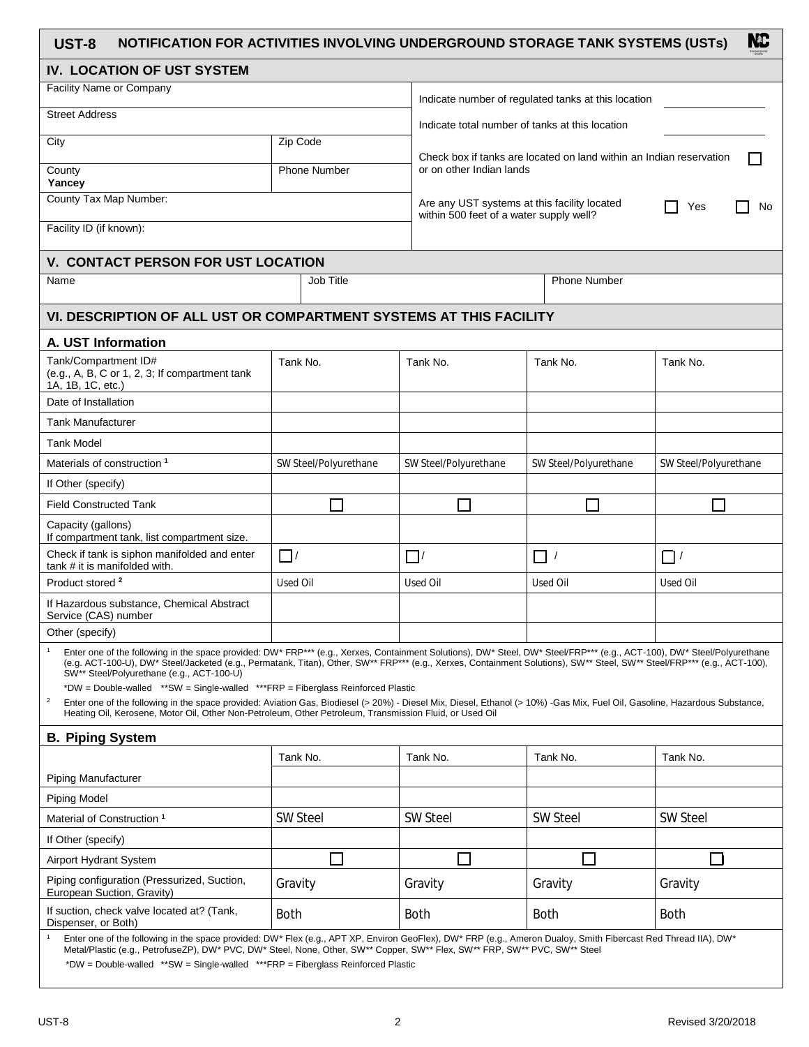| <b>IV. LOCATION OF UST SYSTEM</b>                                                                                                                                                                                                                                                                                                                                                                                                                                                                                                                                                                                                                                                                                                                                                               |                       |                                                 |                                                                                                      |                             |  |  |  |  |
|-------------------------------------------------------------------------------------------------------------------------------------------------------------------------------------------------------------------------------------------------------------------------------------------------------------------------------------------------------------------------------------------------------------------------------------------------------------------------------------------------------------------------------------------------------------------------------------------------------------------------------------------------------------------------------------------------------------------------------------------------------------------------------------------------|-----------------------|-------------------------------------------------|------------------------------------------------------------------------------------------------------|-----------------------------|--|--|--|--|
| Facility Name or Company                                                                                                                                                                                                                                                                                                                                                                                                                                                                                                                                                                                                                                                                                                                                                                        |                       |                                                 |                                                                                                      |                             |  |  |  |  |
| <b>Street Address</b>                                                                                                                                                                                                                                                                                                                                                                                                                                                                                                                                                                                                                                                                                                                                                                           |                       |                                                 | Indicate number of regulated tanks at this location                                                  |                             |  |  |  |  |
|                                                                                                                                                                                                                                                                                                                                                                                                                                                                                                                                                                                                                                                                                                                                                                                                 |                       | Indicate total number of tanks at this location |                                                                                                      |                             |  |  |  |  |
| City                                                                                                                                                                                                                                                                                                                                                                                                                                                                                                                                                                                                                                                                                                                                                                                            | Zip Code              |                                                 | Check box if tanks are located on land within an Indian reservation                                  |                             |  |  |  |  |
| County<br>Yancey                                                                                                                                                                                                                                                                                                                                                                                                                                                                                                                                                                                                                                                                                                                                                                                | Phone Number          |                                                 | or on other Indian lands                                                                             |                             |  |  |  |  |
| County Tax Map Number:                                                                                                                                                                                                                                                                                                                                                                                                                                                                                                                                                                                                                                                                                                                                                                          |                       |                                                 | Are any UST systems at this facility located<br>Yes<br>No<br>within 500 feet of a water supply well? |                             |  |  |  |  |
| Facility ID (if known):                                                                                                                                                                                                                                                                                                                                                                                                                                                                                                                                                                                                                                                                                                                                                                         |                       |                                                 |                                                                                                      |                             |  |  |  |  |
| <b>V. CONTACT PERSON FOR UST LOCATION</b>                                                                                                                                                                                                                                                                                                                                                                                                                                                                                                                                                                                                                                                                                                                                                       |                       |                                                 |                                                                                                      |                             |  |  |  |  |
| Name                                                                                                                                                                                                                                                                                                                                                                                                                                                                                                                                                                                                                                                                                                                                                                                            | Job Title             |                                                 | <b>Phone Number</b>                                                                                  |                             |  |  |  |  |
| VI. DESCRIPTION OF ALL UST OR COMPARTMENT SYSTEMS AT THIS FACILITY                                                                                                                                                                                                                                                                                                                                                                                                                                                                                                                                                                                                                                                                                                                              |                       |                                                 |                                                                                                      |                             |  |  |  |  |
| A. UST Information                                                                                                                                                                                                                                                                                                                                                                                                                                                                                                                                                                                                                                                                                                                                                                              |                       |                                                 |                                                                                                      |                             |  |  |  |  |
| Tank/Compartment ID#<br>(e.g., A, B, C or 1, 2, 3; If compartment tank<br>1A, 1B, 1C, etc.)                                                                                                                                                                                                                                                                                                                                                                                                                                                                                                                                                                                                                                                                                                     | Tank No.              | Tank No.                                        | Tank No.                                                                                             | Tank No.                    |  |  |  |  |
| Date of Installation                                                                                                                                                                                                                                                                                                                                                                                                                                                                                                                                                                                                                                                                                                                                                                            |                       |                                                 |                                                                                                      |                             |  |  |  |  |
| <b>Tank Manufacturer</b>                                                                                                                                                                                                                                                                                                                                                                                                                                                                                                                                                                                                                                                                                                                                                                        |                       |                                                 |                                                                                                      |                             |  |  |  |  |
| <b>Tank Model</b>                                                                                                                                                                                                                                                                                                                                                                                                                                                                                                                                                                                                                                                                                                                                                                               |                       |                                                 |                                                                                                      |                             |  |  |  |  |
| Materials of construction <sup>1</sup>                                                                                                                                                                                                                                                                                                                                                                                                                                                                                                                                                                                                                                                                                                                                                          | SW Steel/Polyurethane | SW Steel/Polyurethane                           | SW Steel/Polyurethane                                                                                | SW Steel/Polyurethane       |  |  |  |  |
| If Other (specify)                                                                                                                                                                                                                                                                                                                                                                                                                                                                                                                                                                                                                                                                                                                                                                              |                       |                                                 |                                                                                                      |                             |  |  |  |  |
| <b>Field Constructed Tank</b>                                                                                                                                                                                                                                                                                                                                                                                                                                                                                                                                                                                                                                                                                                                                                                   |                       |                                                 |                                                                                                      | $\mathcal{L}_{\mathcal{A}}$ |  |  |  |  |
| Capacity (gallons)<br>If compartment tank, list compartment size.                                                                                                                                                                                                                                                                                                                                                                                                                                                                                                                                                                                                                                                                                                                               |                       |                                                 |                                                                                                      |                             |  |  |  |  |
| Check if tank is siphon manifolded and enter<br>tank # it is manifolded with.                                                                                                                                                                                                                                                                                                                                                                                                                                                                                                                                                                                                                                                                                                                   | $\Box'$               | $\Box'$                                         | $\Box$                                                                                               | $\Box$                      |  |  |  |  |
| Product stored <sup>2</sup>                                                                                                                                                                                                                                                                                                                                                                                                                                                                                                                                                                                                                                                                                                                                                                     | <b>Used Oil</b>       | Used Oil                                        | Used Oil                                                                                             | Used Oil                    |  |  |  |  |
| If Hazardous substance, Chemical Abstract<br>Service (CAS) number                                                                                                                                                                                                                                                                                                                                                                                                                                                                                                                                                                                                                                                                                                                               |                       |                                                 |                                                                                                      |                             |  |  |  |  |
| Other (specify)                                                                                                                                                                                                                                                                                                                                                                                                                                                                                                                                                                                                                                                                                                                                                                                 |                       |                                                 |                                                                                                      |                             |  |  |  |  |
| Enter one of the following in the space provided: DW* FRP*** (e.g., Xerxes, Containment Solutions), DW* Steel, DW* Steel/FRP*** (e.g., ACT-100), DW* Steel/Polyurethane<br>(e.g. ACT-100-U), DW* Steel/Jacketed (e.g., Permatank, Titan), Other, SW** FRP*** (e.g., Xerxes, Containment Solutions), SW** Steel, SW** Steel/FRP*** (e.g., ACT-100),<br>SW** Steel/Polyurethane (e.g., ACT-100-U)<br>$*DW = Double-walled$ **SW = Single-walled ***FRP = Fiberglass Reinforced Plastic<br>$\overline{a}$<br>Enter one of the following in the space provided: Aviation Gas, Biodiesel (> 20%) - Diesel Mix, Diesel, Ethanol (> 10%) -Gas Mix, Fuel Oil, Gasoline, Hazardous Substance,<br>Heating Oil, Kerosene, Motor Oil, Other Non-Petroleum, Other Petroleum, Transmission Fluid, or Used Oil |                       |                                                 |                                                                                                      |                             |  |  |  |  |
| <b>B. Piping System</b>                                                                                                                                                                                                                                                                                                                                                                                                                                                                                                                                                                                                                                                                                                                                                                         |                       |                                                 |                                                                                                      |                             |  |  |  |  |
|                                                                                                                                                                                                                                                                                                                                                                                                                                                                                                                                                                                                                                                                                                                                                                                                 | Tank No.              | Tank No.                                        | Tank No.                                                                                             | Tank No.                    |  |  |  |  |
| <b>Piping Manufacturer</b>                                                                                                                                                                                                                                                                                                                                                                                                                                                                                                                                                                                                                                                                                                                                                                      |                       |                                                 |                                                                                                      |                             |  |  |  |  |
| Piping Model                                                                                                                                                                                                                                                                                                                                                                                                                                                                                                                                                                                                                                                                                                                                                                                    |                       |                                                 |                                                                                                      |                             |  |  |  |  |
| Material of Construction <sup>1</sup>                                                                                                                                                                                                                                                                                                                                                                                                                                                                                                                                                                                                                                                                                                                                                           | <b>SW Steel</b>       | <b>SW Steel</b>                                 | <b>SW Steel</b>                                                                                      | <b>SW Steel</b>             |  |  |  |  |
| If Other (specify)                                                                                                                                                                                                                                                                                                                                                                                                                                                                                                                                                                                                                                                                                                                                                                              |                       |                                                 |                                                                                                      |                             |  |  |  |  |
| Airport Hydrant System                                                                                                                                                                                                                                                                                                                                                                                                                                                                                                                                                                                                                                                                                                                                                                          |                       |                                                 |                                                                                                      |                             |  |  |  |  |
| Piping configuration (Pressurized, Suction,<br>European Suction, Gravity)                                                                                                                                                                                                                                                                                                                                                                                                                                                                                                                                                                                                                                                                                                                       | Gravity               | Gravity                                         | Gravity                                                                                              | Gravity                     |  |  |  |  |
| If suction, check valve located at? (Tank,                                                                                                                                                                                                                                                                                                                                                                                                                                                                                                                                                                                                                                                                                                                                                      | <b>Both</b>           | <b>Both</b>                                     | Both                                                                                                 | <b>Both</b>                 |  |  |  |  |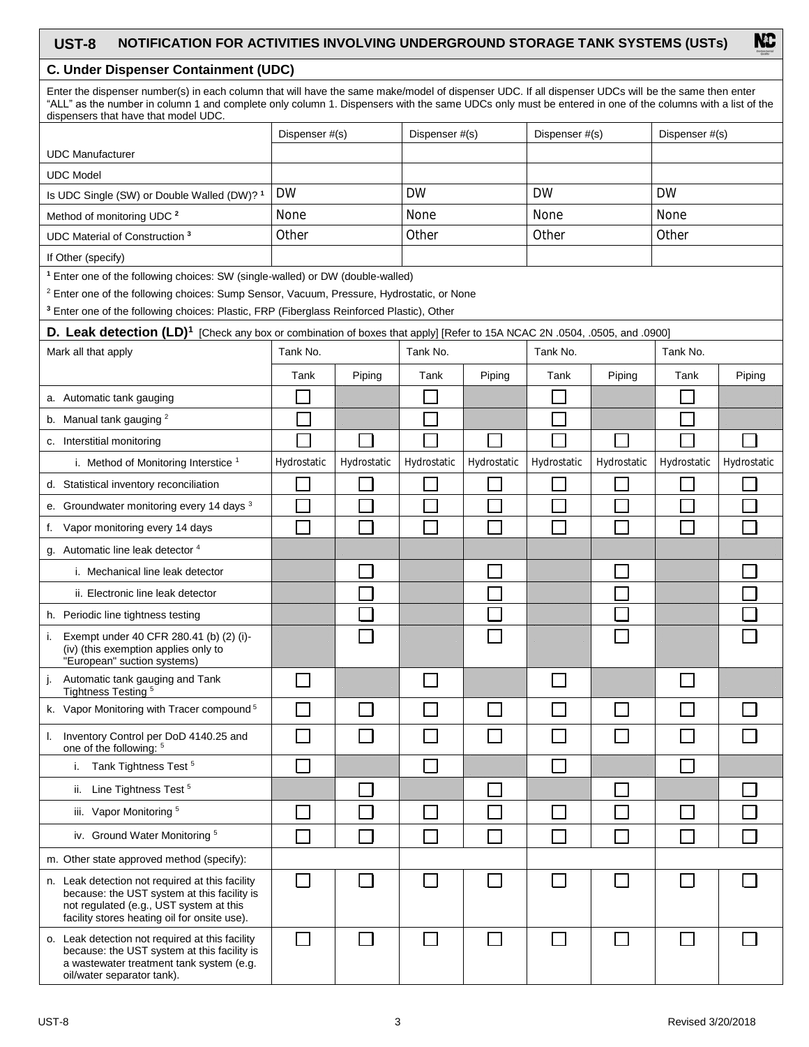### **UST-8 NOTIFICATION FOR ACTIVITIES INVOLVING UNDERGROUND STORAGE TANK SYSTEMS (USTs)**

#### **C. Under Dispenser Containment (UDC)**

Enter the dispenser number(s) in each column that will have the same make/model of dispenser UDC. If all dispenser UDCs will be the same then enter "ALL" as the number in column 1 and complete only column 1. Dispensers with the same UDCs only must be entered in one of the columns with a list of the dispensers that have that model UDC.

| aloponooto that have that model op o                                                                                                                                                      |                |             |                             |             |                |             |                |             |  |
|-------------------------------------------------------------------------------------------------------------------------------------------------------------------------------------------|----------------|-------------|-----------------------------|-------------|----------------|-------------|----------------|-------------|--|
|                                                                                                                                                                                           | Dispenser #(s) |             | Dispenser #(s)              |             | Dispenser #(s) |             | Dispenser #(s) |             |  |
| <b>UDC Manufacturer</b>                                                                                                                                                                   |                |             |                             |             |                |             |                |             |  |
| <b>UDC Model</b>                                                                                                                                                                          |                |             |                             |             |                |             |                |             |  |
| Is UDC Single (SW) or Double Walled (DW)? 1                                                                                                                                               | <b>DW</b>      |             | <b>DW</b>                   |             |                | <b>DW</b>   |                | <b>DW</b>   |  |
| Method of monitoring UDC <sup>2</sup>                                                                                                                                                     | <b>None</b>    |             | None                        |             |                | <b>None</b> |                | None        |  |
| UDC Material of Construction <sup>3</sup>                                                                                                                                                 | Other          |             | Other                       |             | Other          |             | Other          |             |  |
| If Other (specify)                                                                                                                                                                        |                |             |                             |             |                |             |                |             |  |
| <sup>1</sup> Enter one of the following choices: SW (single-walled) or DW (double-walled)                                                                                                 |                |             |                             |             |                |             |                |             |  |
| <sup>2</sup> Enter one of the following choices: Sump Sensor, Vacuum, Pressure, Hydrostatic, or None                                                                                      |                |             |                             |             |                |             |                |             |  |
| <sup>3</sup> Enter one of the following choices: Plastic, FRP (Fiberglass Reinforced Plastic), Other                                                                                      |                |             |                             |             |                |             |                |             |  |
| D. Leak detection (LD) <sup>1</sup> [Check any box or combination of boxes that apply] [Refer to 15A NCAC 2N .0504, .0505, and .0900]                                                     |                |             | Tank No.                    |             | Tank No.       |             | Tank No.       |             |  |
| Mark all that apply                                                                                                                                                                       | Tank No.       |             |                             |             |                |             |                |             |  |
|                                                                                                                                                                                           | Tank           | Piping      | Tank                        | Piping      | Tank           | Piping      | Tank           | Piping      |  |
| a. Automatic tank gauging                                                                                                                                                                 |                |             |                             |             |                |             |                |             |  |
| b. Manual tank gauging <sup>2</sup>                                                                                                                                                       |                |             |                             |             |                |             |                |             |  |
| c. Interstitial monitoring                                                                                                                                                                |                |             |                             |             |                |             |                |             |  |
| i. Method of Monitoring Interstice <sup>1</sup>                                                                                                                                           | Hydrostatic    | Hydrostatic | Hydrostatic                 | Hydrostatic | Hydrostatic    | Hydrostatic | Hydrostatic    | Hydrostatic |  |
| d. Statistical inventory reconciliation                                                                                                                                                   |                |             |                             |             |                |             |                |             |  |
| e. Groundwater monitoring every 14 days <sup>3</sup>                                                                                                                                      |                |             |                             |             |                |             |                |             |  |
| f. Vapor monitoring every 14 days                                                                                                                                                         |                |             |                             |             |                |             |                |             |  |
| g. Automatic line leak detector 4                                                                                                                                                         |                |             |                             |             |                |             |                |             |  |
| i. Mechanical line leak detector                                                                                                                                                          |                |             |                             |             |                |             |                |             |  |
| ii. Electronic line leak detector                                                                                                                                                         |                |             |                             |             |                |             |                |             |  |
| h. Periodic line tightness testing                                                                                                                                                        |                |             |                             |             |                |             |                |             |  |
| i. Exempt under 40 CFR 280.41 (b) (2) (i)-<br>(iv) (this exemption applies only to<br>"European" suction systems)                                                                         |                |             |                             |             |                |             |                |             |  |
| Automatic tank gauging and Tank<br>Tightness Testing <sup>5</sup><br>j.                                                                                                                   |                |             |                             |             |                |             |                |             |  |
| k. Vapor Monitoring with Tracer compound <sup>5</sup>                                                                                                                                     |                |             |                             |             |                |             |                |             |  |
| I. Inventory Control per DoD 4140.25 and<br>one of the following: 5                                                                                                                       |                |             | $\mathcal{L}_{\mathcal{A}}$ |             |                |             |                |             |  |
| Tank Tightness Test <sup>5</sup><br>i.                                                                                                                                                    |                |             | $\sim$                      |             |                |             |                |             |  |
| ii. Line Tightness Test <sup>5</sup>                                                                                                                                                      |                |             |                             |             |                |             |                |             |  |
| iii. Vapor Monitoring <sup>5</sup>                                                                                                                                                        |                |             |                             |             |                |             |                |             |  |
| iv. Ground Water Monitoring <sup>5</sup>                                                                                                                                                  |                |             | $\Box$                      |             |                |             | $\sim$         |             |  |
| m. Other state approved method (specify):                                                                                                                                                 |                |             |                             |             |                |             |                |             |  |
| n. Leak detection not required at this facility<br>because: the UST system at this facility is<br>not regulated (e.g., UST system at this<br>facility stores heating oil for onsite use). |                |             |                             |             |                |             |                |             |  |
| o. Leak detection not required at this facility<br>because: the UST system at this facility is<br>a wastewater treatment tank system (e.g.<br>oil/water separator tank).                  | $\Box$         | П           | $\Box$                      |             | П              |             | $\sim$         |             |  |

**NC**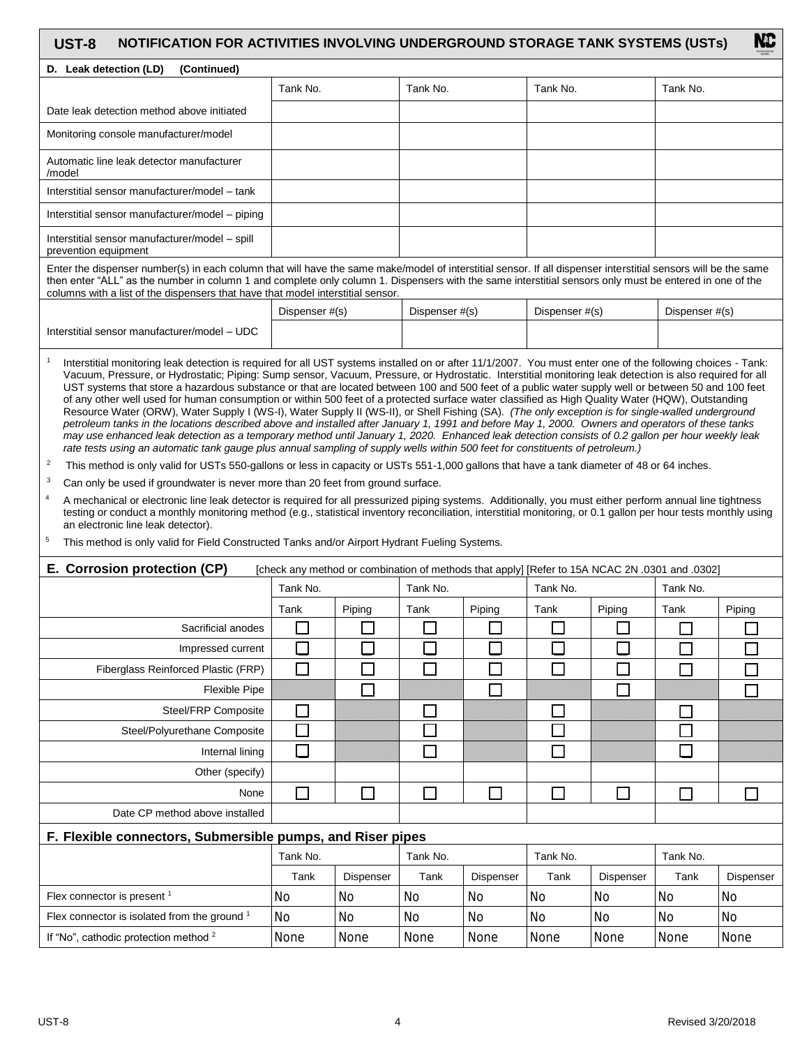| <b>NC</b><br>NOTIFICATION FOR ACTIVITIES INVOLVING UNDERGROUND STORAGE TANK SYSTEMS (USTs)<br>UST-8                                                                                                                                                                                                                                                                                                                                                                                                                                                                                                                                                                                                                                                                                                                                                                                                                                                                                                                                                                                                                                                                                                                                                                                                                                                                                                                                                                                                                                                                                                                                                                                                                                                                                                                                                                                                                                                                                                                                                                                                                     |                             |           |                |           |                             |               |                |           |
|-------------------------------------------------------------------------------------------------------------------------------------------------------------------------------------------------------------------------------------------------------------------------------------------------------------------------------------------------------------------------------------------------------------------------------------------------------------------------------------------------------------------------------------------------------------------------------------------------------------------------------------------------------------------------------------------------------------------------------------------------------------------------------------------------------------------------------------------------------------------------------------------------------------------------------------------------------------------------------------------------------------------------------------------------------------------------------------------------------------------------------------------------------------------------------------------------------------------------------------------------------------------------------------------------------------------------------------------------------------------------------------------------------------------------------------------------------------------------------------------------------------------------------------------------------------------------------------------------------------------------------------------------------------------------------------------------------------------------------------------------------------------------------------------------------------------------------------------------------------------------------------------------------------------------------------------------------------------------------------------------------------------------------------------------------------------------------------------------------------------------|-----------------------------|-----------|----------------|-----------|-----------------------------|---------------|----------------|-----------|
| D. Leak detection (LD)<br>(Continued)                                                                                                                                                                                                                                                                                                                                                                                                                                                                                                                                                                                                                                                                                                                                                                                                                                                                                                                                                                                                                                                                                                                                                                                                                                                                                                                                                                                                                                                                                                                                                                                                                                                                                                                                                                                                                                                                                                                                                                                                                                                                                   |                             |           |                |           |                             |               |                |           |
|                                                                                                                                                                                                                                                                                                                                                                                                                                                                                                                                                                                                                                                                                                                                                                                                                                                                                                                                                                                                                                                                                                                                                                                                                                                                                                                                                                                                                                                                                                                                                                                                                                                                                                                                                                                                                                                                                                                                                                                                                                                                                                                         | Tank No.                    |           | Tank No.       |           | Tank No.                    |               | Tank No.       |           |
| Date leak detection method above initiated                                                                                                                                                                                                                                                                                                                                                                                                                                                                                                                                                                                                                                                                                                                                                                                                                                                                                                                                                                                                                                                                                                                                                                                                                                                                                                                                                                                                                                                                                                                                                                                                                                                                                                                                                                                                                                                                                                                                                                                                                                                                              |                             |           |                |           |                             |               |                |           |
| Monitoring console manufacturer/model                                                                                                                                                                                                                                                                                                                                                                                                                                                                                                                                                                                                                                                                                                                                                                                                                                                                                                                                                                                                                                                                                                                                                                                                                                                                                                                                                                                                                                                                                                                                                                                                                                                                                                                                                                                                                                                                                                                                                                                                                                                                                   |                             |           |                |           |                             |               |                |           |
| Automatic line leak detector manufacturer<br>/model                                                                                                                                                                                                                                                                                                                                                                                                                                                                                                                                                                                                                                                                                                                                                                                                                                                                                                                                                                                                                                                                                                                                                                                                                                                                                                                                                                                                                                                                                                                                                                                                                                                                                                                                                                                                                                                                                                                                                                                                                                                                     |                             |           |                |           |                             |               |                |           |
| Interstitial sensor manufacturer/model - tank                                                                                                                                                                                                                                                                                                                                                                                                                                                                                                                                                                                                                                                                                                                                                                                                                                                                                                                                                                                                                                                                                                                                                                                                                                                                                                                                                                                                                                                                                                                                                                                                                                                                                                                                                                                                                                                                                                                                                                                                                                                                           |                             |           |                |           |                             |               |                |           |
| Interstitial sensor manufacturer/model - piping                                                                                                                                                                                                                                                                                                                                                                                                                                                                                                                                                                                                                                                                                                                                                                                                                                                                                                                                                                                                                                                                                                                                                                                                                                                                                                                                                                                                                                                                                                                                                                                                                                                                                                                                                                                                                                                                                                                                                                                                                                                                         |                             |           |                |           |                             |               |                |           |
| Interstitial sensor manufacturer/model - spill<br>prevention equipment                                                                                                                                                                                                                                                                                                                                                                                                                                                                                                                                                                                                                                                                                                                                                                                                                                                                                                                                                                                                                                                                                                                                                                                                                                                                                                                                                                                                                                                                                                                                                                                                                                                                                                                                                                                                                                                                                                                                                                                                                                                  |                             |           |                |           |                             |               |                |           |
| Enter the dispenser number(s) in each column that will have the same make/model of interstitial sensor. If all dispenser interstitial sensors will be the same<br>then enter "ALL" as the number in column 1 and complete only column 1. Dispensers with the same interstitial sensors only must be entered in one of the<br>columns with a list of the dispensers that have that model interstitial sensor.                                                                                                                                                                                                                                                                                                                                                                                                                                                                                                                                                                                                                                                                                                                                                                                                                                                                                                                                                                                                                                                                                                                                                                                                                                                                                                                                                                                                                                                                                                                                                                                                                                                                                                            |                             |           |                |           |                             |               |                |           |
|                                                                                                                                                                                                                                                                                                                                                                                                                                                                                                                                                                                                                                                                                                                                                                                                                                                                                                                                                                                                                                                                                                                                                                                                                                                                                                                                                                                                                                                                                                                                                                                                                                                                                                                                                                                                                                                                                                                                                                                                                                                                                                                         | Dispenser #(s)              |           | Dispenser #(s) |           | Dispenser #(s)              |               | Dispenser #(s) |           |
| Interstitial sensor manufacturer/model - UDC                                                                                                                                                                                                                                                                                                                                                                                                                                                                                                                                                                                                                                                                                                                                                                                                                                                                                                                                                                                                                                                                                                                                                                                                                                                                                                                                                                                                                                                                                                                                                                                                                                                                                                                                                                                                                                                                                                                                                                                                                                                                            |                             |           |                |           |                             |               |                |           |
| Interstitial monitoring leak detection is required for all UST systems installed on or after 11/1/2007. You must enter one of the following choices - Tank:<br>Vacuum, Pressure, or Hydrostatic; Piping: Sump sensor, Vacuum, Pressure, or Hydrostatic. Interstitial monitoring leak detection is also required for all<br>UST systems that store a hazardous substance or that are located between 100 and 500 feet of a public water supply well or between 50 and 100 feet<br>of any other well used for human consumption or within 500 feet of a protected surface water classified as High Quality Water (HQW), Outstanding<br>Resource Water (ORW), Water Supply I (WS-I), Water Supply II (WS-II), or Shell Fishing (SA). (The only exception is for single-walled underground<br>petroleum tanks in the locations described above and installed after January 1, 1991 and before May 1, 2000. Owners and operators of these tanks<br>may use enhanced leak detection as a temporary method until January 1, 2020. Enhanced leak detection consists of 0.2 gallon per hour weekly leak<br>rate tests using an automatic tank gauge plus annual sampling of supply wells within 500 feet for constituents of petroleum.)<br>$\overline{c}$<br>This method is only valid for USTs 550-gallons or less in capacity or USTs 551-1,000 gallons that have a tank diameter of 48 or 64 inches.<br>3<br>Can only be used if groundwater is never more than 20 feet from ground surface.<br>$\overline{a}$<br>A mechanical or electronic line leak detector is required for all pressurized piping systems. Additionally, you must either perform annual line tightness<br>testing or conduct a monthly monitoring method (e.g., statistical inventory reconciliation, interstitial monitoring, or 0.1 gallon per hour tests monthly using<br>an electronic line leak detector).<br>5<br>This method is only valid for Field Constructed Tanks and/or Airport Hydrant Fueling Systems.<br>E. Corrosion protection (CP)<br>[Check any method or combination of methods that apply] [Refer to 15A NCAC 2N .0301 and .0302] |                             |           |                |           |                             |               |                |           |
|                                                                                                                                                                                                                                                                                                                                                                                                                                                                                                                                                                                                                                                                                                                                                                                                                                                                                                                                                                                                                                                                                                                                                                                                                                                                                                                                                                                                                                                                                                                                                                                                                                                                                                                                                                                                                                                                                                                                                                                                                                                                                                                         | Tank No.                    |           | Tank No.       |           | Tank No.                    |               | Tank No.       |           |
|                                                                                                                                                                                                                                                                                                                                                                                                                                                                                                                                                                                                                                                                                                                                                                                                                                                                                                                                                                                                                                                                                                                                                                                                                                                                                                                                                                                                                                                                                                                                                                                                                                                                                                                                                                                                                                                                                                                                                                                                                                                                                                                         | Tank                        | Piping    | Tank           | Piping    | Tank                        | Piping        | Tank           | Piping    |
| Sacrificial anodes                                                                                                                                                                                                                                                                                                                                                                                                                                                                                                                                                                                                                                                                                                                                                                                                                                                                                                                                                                                                                                                                                                                                                                                                                                                                                                                                                                                                                                                                                                                                                                                                                                                                                                                                                                                                                                                                                                                                                                                                                                                                                                      | $\mathcal{L}_{\mathcal{A}}$ |           |                |           | $\Box$                      | $\mathcal{L}$ |                |           |
| Impressed current                                                                                                                                                                                                                                                                                                                                                                                                                                                                                                                                                                                                                                                                                                                                                                                                                                                                                                                                                                                                                                                                                                                                                                                                                                                                                                                                                                                                                                                                                                                                                                                                                                                                                                                                                                                                                                                                                                                                                                                                                                                                                                       |                             |           |                |           | $\Box$                      |               |                |           |
| Fiberglass Reinforced Plastic (FRP)                                                                                                                                                                                                                                                                                                                                                                                                                                                                                                                                                                                                                                                                                                                                                                                                                                                                                                                                                                                                                                                                                                                                                                                                                                                                                                                                                                                                                                                                                                                                                                                                                                                                                                                                                                                                                                                                                                                                                                                                                                                                                     | $\Box$                      |           |                |           | $\mathcal{L}_{\mathcal{A}}$ |               |                |           |
| Flexible Pipe                                                                                                                                                                                                                                                                                                                                                                                                                                                                                                                                                                                                                                                                                                                                                                                                                                                                                                                                                                                                                                                                                                                                                                                                                                                                                                                                                                                                                                                                                                                                                                                                                                                                                                                                                                                                                                                                                                                                                                                                                                                                                                           |                             |           |                |           |                             |               |                |           |
| Steel/FRP Composite                                                                                                                                                                                                                                                                                                                                                                                                                                                                                                                                                                                                                                                                                                                                                                                                                                                                                                                                                                                                                                                                                                                                                                                                                                                                                                                                                                                                                                                                                                                                                                                                                                                                                                                                                                                                                                                                                                                                                                                                                                                                                                     |                             |           |                |           | ⊏                           |               |                |           |
| Steel/Polyurethane Composite                                                                                                                                                                                                                                                                                                                                                                                                                                                                                                                                                                                                                                                                                                                                                                                                                                                                                                                                                                                                                                                                                                                                                                                                                                                                                                                                                                                                                                                                                                                                                                                                                                                                                                                                                                                                                                                                                                                                                                                                                                                                                            | $\Box$                      |           |                |           | $\Box$                      |               |                |           |
| Internal lining                                                                                                                                                                                                                                                                                                                                                                                                                                                                                                                                                                                                                                                                                                                                                                                                                                                                                                                                                                                                                                                                                                                                                                                                                                                                                                                                                                                                                                                                                                                                                                                                                                                                                                                                                                                                                                                                                                                                                                                                                                                                                                         | $\Box$                      |           |                |           | $\Box$                      |               |                |           |
| Other (specify)                                                                                                                                                                                                                                                                                                                                                                                                                                                                                                                                                                                                                                                                                                                                                                                                                                                                                                                                                                                                                                                                                                                                                                                                                                                                                                                                                                                                                                                                                                                                                                                                                                                                                                                                                                                                                                                                                                                                                                                                                                                                                                         |                             |           |                |           |                             |               |                |           |
| None                                                                                                                                                                                                                                                                                                                                                                                                                                                                                                                                                                                                                                                                                                                                                                                                                                                                                                                                                                                                                                                                                                                                                                                                                                                                                                                                                                                                                                                                                                                                                                                                                                                                                                                                                                                                                                                                                                                                                                                                                                                                                                                    |                             |           |                |           | $\Box$                      |               | $\sim$         | $\sim$    |
| Date CP method above installed                                                                                                                                                                                                                                                                                                                                                                                                                                                                                                                                                                                                                                                                                                                                                                                                                                                                                                                                                                                                                                                                                                                                                                                                                                                                                                                                                                                                                                                                                                                                                                                                                                                                                                                                                                                                                                                                                                                                                                                                                                                                                          |                             |           |                |           |                             |               |                |           |
| F. Flexible connectors, Submersible pumps, and Riser pipes                                                                                                                                                                                                                                                                                                                                                                                                                                                                                                                                                                                                                                                                                                                                                                                                                                                                                                                                                                                                                                                                                                                                                                                                                                                                                                                                                                                                                                                                                                                                                                                                                                                                                                                                                                                                                                                                                                                                                                                                                                                              |                             |           |                |           |                             |               |                |           |
|                                                                                                                                                                                                                                                                                                                                                                                                                                                                                                                                                                                                                                                                                                                                                                                                                                                                                                                                                                                                                                                                                                                                                                                                                                                                                                                                                                                                                                                                                                                                                                                                                                                                                                                                                                                                                                                                                                                                                                                                                                                                                                                         | Tank No.                    |           | Tank No.       |           | Tank No.                    |               | Tank No.       |           |
|                                                                                                                                                                                                                                                                                                                                                                                                                                                                                                                                                                                                                                                                                                                                                                                                                                                                                                                                                                                                                                                                                                                                                                                                                                                                                                                                                                                                                                                                                                                                                                                                                                                                                                                                                                                                                                                                                                                                                                                                                                                                                                                         | Tank                        | Dispenser | Tank           | Dispenser | Tank                        | Dispenser     | Tank           | Dispenser |
| Flex connector is present <sup>1</sup>                                                                                                                                                                                                                                                                                                                                                                                                                                                                                                                                                                                                                                                                                                                                                                                                                                                                                                                                                                                                                                                                                                                                                                                                                                                                                                                                                                                                                                                                                                                                                                                                                                                                                                                                                                                                                                                                                                                                                                                                                                                                                  | <b>No</b>                   | <b>No</b> | <b>No</b>      | <b>No</b> | <b>No</b>                   | <b>No</b>     | <b>No</b>      | <b>No</b> |
| Flex connector is isolated from the ground 1                                                                                                                                                                                                                                                                                                                                                                                                                                                                                                                                                                                                                                                                                                                                                                                                                                                                                                                                                                                                                                                                                                                                                                                                                                                                                                                                                                                                                                                                                                                                                                                                                                                                                                                                                                                                                                                                                                                                                                                                                                                                            | No                          | No.       | No             | <b>No</b> | <b>No</b>                   | No            | <b>No</b>      | No        |
| If "No", cathodic protection method <sup>2</sup>                                                                                                                                                                                                                                                                                                                                                                                                                                                                                                                                                                                                                                                                                                                                                                                                                                                                                                                                                                                                                                                                                                                                                                                                                                                                                                                                                                                                                                                                                                                                                                                                                                                                                                                                                                                                                                                                                                                                                                                                                                                                        | None                        | None      | None           | None      | None                        | None          | None           | None      |

 $\Gamma$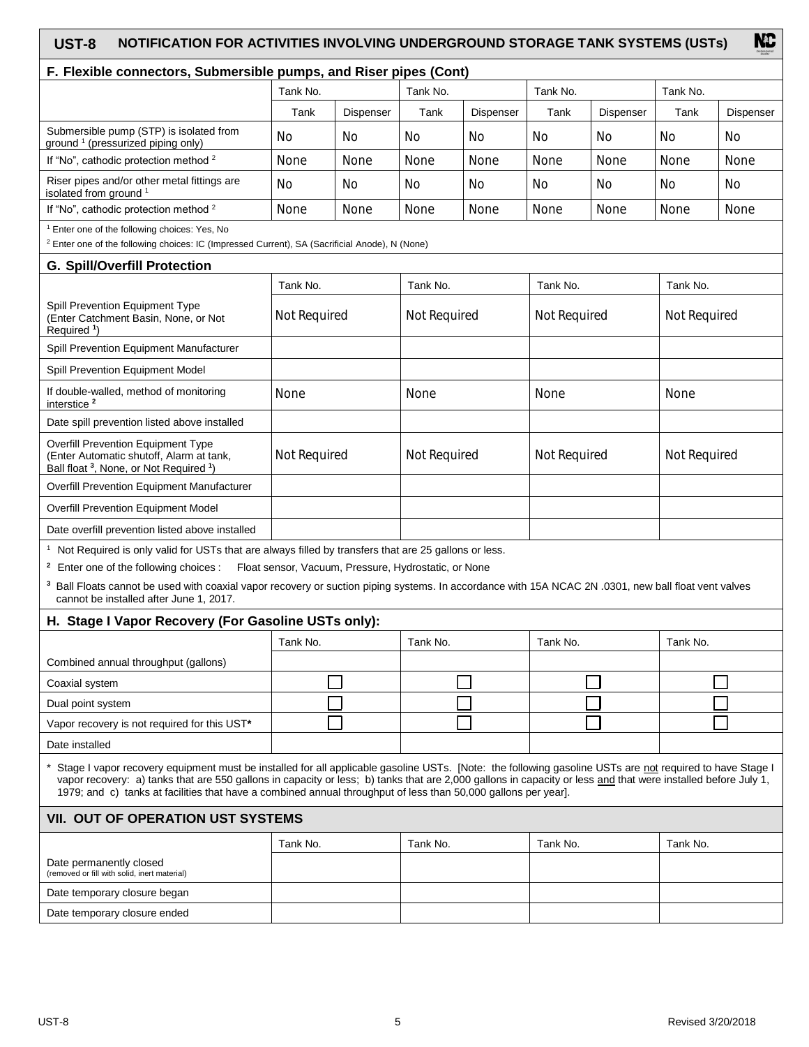#### **NC UST-8 NOTIFICATION FOR ACTIVITIES INVOLVING UNDERGROUND STORAGE TANK SYSTEMS (USTs) F. Flexible connectors, Submersible pumps, and Riser pipes (Cont)** Tank No. Tank No. Tank No. Tank No. Tank | Dispenser | Tank | Dispenser | Tank | Dispenser | Tank | Dispenser Submersible pump (STP) is isolated from **No** No No No No No No No No No<br>None None None None None None None None<br>No No No No No No No No No No<br>None None None None None None None None No No ground <sup>1</sup> (pressurized piping only) If "No", cathodic protection method<sup>2</sup> None **None** Riser pipes and/or other metal fittings are **No** No No isolated from ground<sup>1</sup> If "No", cathodic protection method <sup>2</sup> None <sup>1</sup> Enter one of the following choices: Yes, No <sup>2</sup> Enter one of the following choices: IC (Impressed Current), SA (Sacrificial Anode), N (None) **G. Spill/Overfill Protection** Tank No. Tank No. Tank No. Tank No. Spill Prevention Equipment Type Not Required Not Required Not Required Not Required Not Required Not Required<br>
None None None None None None<br>
Not Required Not Required Not Required Not Required (Enter Catchment Basin, None, or Not Required **<sup>1</sup>** ) Spill Prevention Equipment Manufacturer Spill Prevention Equipment Model If double-walled, method of monitoring None interstice **<sup>2</sup>** Date spill prevention listed above installed Overfill Prevention Equipment Type (Enter Automatic shutoff, Alarm at tank, Ball float **<sup>3</sup>** , None, or Not Required **<sup>1</sup>** ) Overfill Prevention Equipment Manufacturer Overfill Prevention Equipment Model Date overfill prevention listed above installed <sup>1</sup> Not Required is only valid for USTs that are always filled by transfers that are 25 gallons or less. <sup>2</sup> Enter one of the following choices : Float sensor, Vacuum, Pressure, Hydrostatic, or None **<sup>3</sup>** Ball Floats cannot be used with coaxial vapor recovery or suction piping systems. In accordance with 15A NCAC 2N .0301, new ball float vent valves cannot be installed after June 1, 2017. **H. Stage I Vapor Recovery (For Gasoline USTs only):** Tank No. Tank No. Tank No. Tank No. Combined annual throughput (gallons) Coaxial system Dual point system Vapor recovery is not required for this UST**\*** Date installed Stage I vapor recovery equipment must be installed for all applicable gasoline USTs. [Note: the following gasoline USTs are not required to have Stage I vapor recovery: a) tanks that are 550 gallons in capacity or less; b) tanks that are 2,000 gallons in capacity or less and that were installed before July 1, 1979; and c) tanks at facilities that have a combined annual throughput of less than 50,000 gallons per year]. **VII. OUT OF OPERATION UST SYSTEMS** Tank No. Tank No. Tank No. Tank No. Date permanently closed (removed or fill with solid, inert material) Date temporary closure began Date temporary closure ended